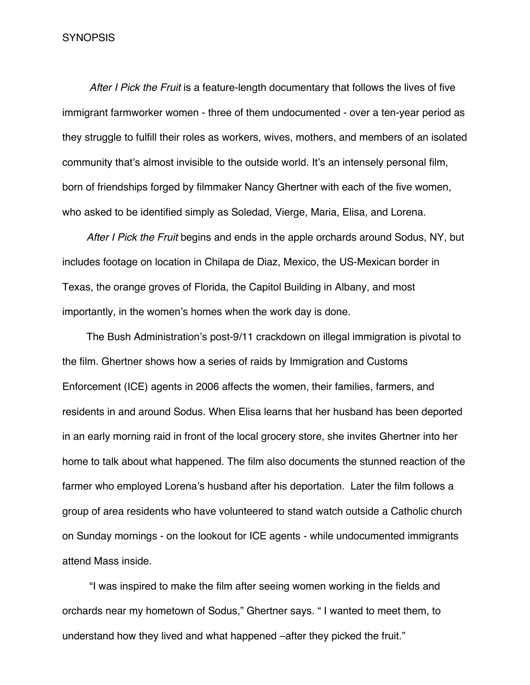#### SYNOPSIS

*After I Pick the Fruit* is a feature-length documentary that follows the lives of five immigrant farmworker women - three of them undocumented - over a ten-year period as they struggle to fulfill their roles as workers, wives, mothers, and members of an isolated community that's almost invisible to the outside world. It's an intensely personal film, born of friendships forged by filmmaker Nancy Ghertner with each of the five women, who asked to be identified simply as Soledad, Vierge, Maria, Elisa, and Lorena.

*After I Pick the Fruit* begins and ends in the apple orchards around Sodus, NY, but includes footage on location in Chilapa de Diaz, Mexico, the US-Mexican border in Texas, the orange groves of Florida, the Capitol Building in Albany, and most importantly, in the women's homes when the work day is done.

The Bush Administration's post-9/11 crackdown on illegal immigration is pivotal to the film. Ghertner shows how a series of raids by Immigration and Customs Enforcement (ICE) agents in 2006 affects the women, their families, farmers, and residents in and around Sodus. When Elisa learns that her husband has been deported in an early morning raid in front of the local grocery store, she invites Ghertner into her home to talk about what happened. The film also documents the stunned reaction of the farmer who employed Lorena's husband after his deportation. Later the film follows a group of area residents who have volunteered to stand watch outside a Catholic church on Sunday mornings - on the lookout for ICE agents - while undocumented immigrants attend Mass inside.

 "I was inspired to make the film after seeing women working in the fields and orchards near my hometown of Sodus," Ghertner says. " I wanted to meet them, to understand how they lived and what happened –after they picked the fruit."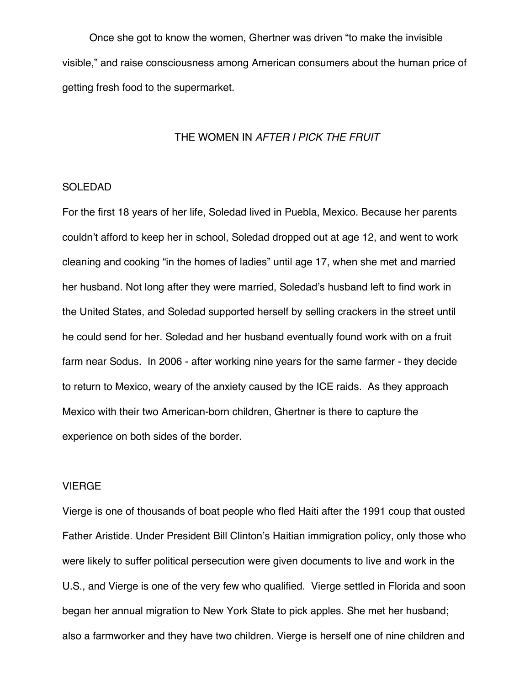Once she got to know the women, Ghertner was driven "to make the invisible visible," and raise consciousness among American consumers about the human price of getting fresh food to the supermarket.

#### THE WOMEN IN *AFTER I PICK THE FRUIT*

# SOLEDAD

For the first 18 years of her life, Soledad lived in Puebla, Mexico. Because her parents couldn't afford to keep her in school, Soledad dropped out at age 12, and went to work cleaning and cooking "in the homes of ladies" until age 17, when she met and married her husband. Not long after they were married, Soledad's husband left to find work in the United States, and Soledad supported herself by selling crackers in the street until he could send for her. Soledad and her husband eventually found work with on a fruit farm near Sodus. In 2006 - after working nine years for the same farmer - they decide to return to Mexico, weary of the anxiety caused by the ICE raids. As they approach Mexico with their two American-born children, Ghertner is there to capture the experience on both sides of the border.

## VIERGE

Vierge is one of thousands of boat people who fled Haiti after the 1991 coup that ousted Father Aristide. Under President Bill Clinton's Haitian immigration policy, only those who were likely to suffer political persecution were given documents to live and work in the U.S., and Vierge is one of the very few who qualified. Vierge settled in Florida and soon began her annual migration to New York State to pick apples. She met her husband; also a farmworker and they have two children. Vierge is herself one of nine children and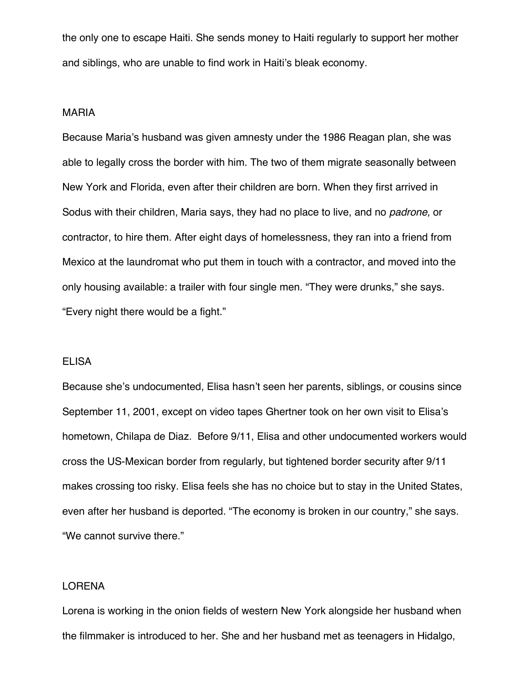the only one to escape Haiti. She sends money to Haiti regularly to support her mother and siblings, who are unable to find work in Haiti's bleak economy.

#### MARIA

Because Maria's husband was given amnesty under the 1986 Reagan plan, she was able to legally cross the border with him. The two of them migrate seasonally between New York and Florida, even after their children are born. When they first arrived in Sodus with their children, Maria says, they had no place to live, and no *padrone,* or contractor, to hire them. After eight days of homelessness, they ran into a friend from Mexico at the laundromat who put them in touch with a contractor, and moved into the only housing available: a trailer with four single men. "They were drunks," she says. "Every night there would be a fight."

#### ELISA

Because she's undocumented, Elisa hasn't seen her parents, siblings, or cousins since September 11, 2001, except on video tapes Ghertner took on her own visit to Elisa's hometown, Chilapa de Diaz. Before 9/11, Elisa and other undocumented workers would cross the US-Mexican border from regularly, but tightened border security after 9/11 makes crossing too risky. Elisa feels she has no choice but to stay in the United States, even after her husband is deported. "The economy is broken in our country," she says. "We cannot survive there."

## LORENA

Lorena is working in the onion fields of western New York alongside her husband when the filmmaker is introduced to her. She and her husband met as teenagers in Hidalgo,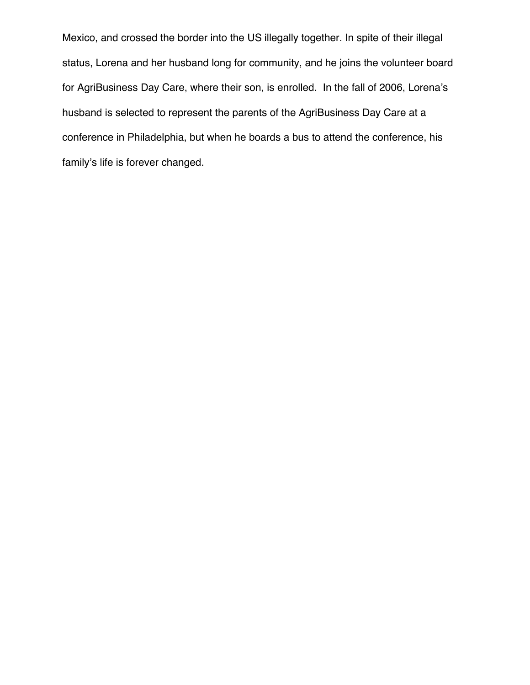Mexico, and crossed the border into the US illegally together. In spite of their illegal status, Lorena and her husband long for community, and he joins the volunteer board for AgriBusiness Day Care, where their son, is enrolled. In the fall of 2006, Lorena's husband is selected to represent the parents of the AgriBusiness Day Care at a conference in Philadelphia, but when he boards a bus to attend the conference, his family's life is forever changed.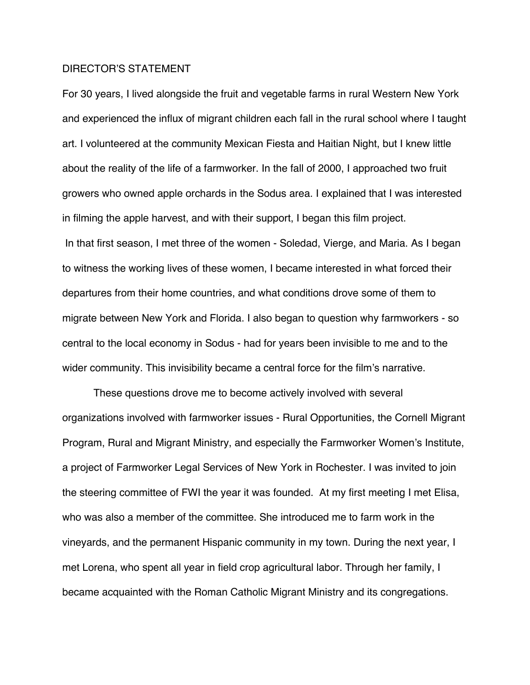## DIRECTOR'S STATEMENT

For 30 years, I lived alongside the fruit and vegetable farms in rural Western New York and experienced the influx of migrant children each fall in the rural school where I taught art. I volunteered at the community Mexican Fiesta and Haitian Night, but I knew little about the reality of the life of a farmworker. In the fall of 2000, I approached two fruit growers who owned apple orchards in the Sodus area. I explained that I was interested in filming the apple harvest, and with their support, I began this film project. In that first season, I met three of the women - Soledad, Vierge, and Maria. As I began to witness the working lives of these women, I became interested in what forced their departures from their home countries, and what conditions drove some of them to migrate between New York and Florida. I also began to question why farmworkers - so central to the local economy in Sodus - had for years been invisible to me and to the wider community. This invisibility became a central force for the film's narrative.

These questions drove me to become actively involved with several organizations involved with farmworker issues - Rural Opportunities, the Cornell Migrant Program, Rural and Migrant Ministry, and especially the Farmworker Women's Institute, a project of Farmworker Legal Services of New York in Rochester. I was invited to join the steering committee of FWI the year it was founded. At my first meeting I met Elisa, who was also a member of the committee. She introduced me to farm work in the vineyards, and the permanent Hispanic community in my town. During the next year, I met Lorena, who spent all year in field crop agricultural labor. Through her family, I became acquainted with the Roman Catholic Migrant Ministry and its congregations.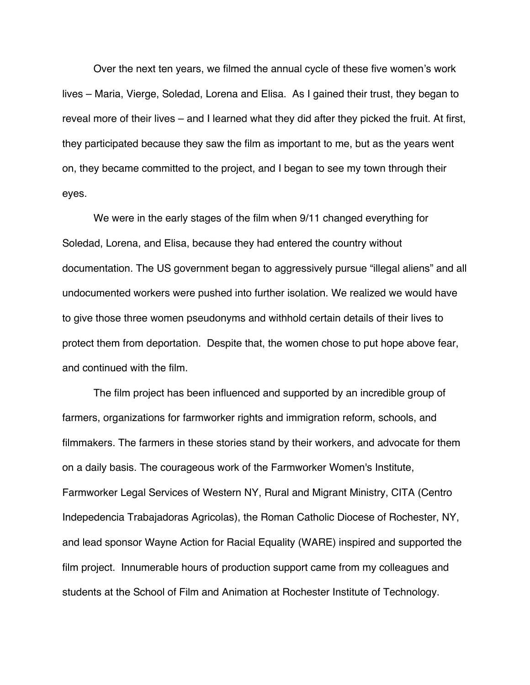Over the next ten years, we filmed the annual cycle of these five women's work lives – Maria, Vierge, Soledad, Lorena and Elisa. As I gained their trust, they began to reveal more of their lives – and I learned what they did after they picked the fruit. At first, they participated because they saw the film as important to me, but as the years went on, they became committed to the project, and I began to see my town through their eyes.

We were in the early stages of the film when 9/11 changed everything for Soledad, Lorena, and Elisa, because they had entered the country without documentation. The US government began to aggressively pursue "illegal aliens" and all undocumented workers were pushed into further isolation. We realized we would have to give those three women pseudonyms and withhold certain details of their lives to protect them from deportation. Despite that, the women chose to put hope above fear, and continued with the film.

The film project has been influenced and supported by an incredible group of farmers, organizations for farmworker rights and immigration reform, schools, and filmmakers. The farmers in these stories stand by their workers, and advocate for them on a daily basis. The courageous work of the Farmworker Women's Institute, Farmworker Legal Services of Western NY, Rural and Migrant Ministry, CITA (Centro Indepedencia Trabajadoras Agricolas), the Roman Catholic Diocese of Rochester, NY, and lead sponsor Wayne Action for Racial Equality (WARE) inspired and supported the film project. Innumerable hours of production support came from my colleagues and students at the School of Film and Animation at Rochester Institute of Technology.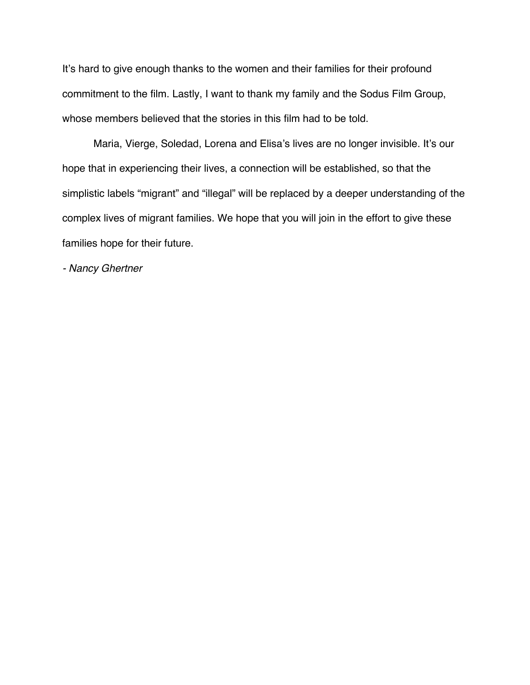It's hard to give enough thanks to the women and their families for their profound commitment to the film. Lastly, I want to thank my family and the Sodus Film Group, whose members believed that the stories in this film had to be told.

Maria, Vierge, Soledad, Lorena and Elisa's lives are no longer invisible. It's our hope that in experiencing their lives, a connection will be established, so that the simplistic labels "migrant" and "illegal" will be replaced by a deeper understanding of the complex lives of migrant families. We hope that you will join in the effort to give these families hope for their future.

*- Nancy Ghertner*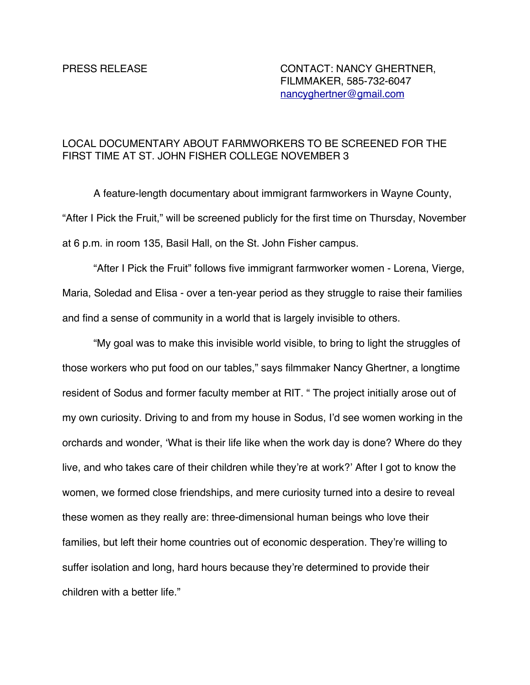# PRESS RELEASE CONTACT: NANCY GHERTNER, FILMMAKER, 585-732-6047 nancyghertner@gmail.com

# LOCAL DOCUMENTARY ABOUT FARMWORKERS TO BE SCREENED FOR THE FIRST TIME AT ST. JOHN FISHER COLLEGE NOVEMBER 3

A feature-length documentary about immigrant farmworkers in Wayne County, "After I Pick the Fruit," will be screened publicly for the first time on Thursday, November at 6 p.m. in room 135, Basil Hall, on the St. John Fisher campus.

"After I Pick the Fruit" follows five immigrant farmworker women - Lorena, Vierge, Maria, Soledad and Elisa - over a ten-year period as they struggle to raise their families and find a sense of community in a world that is largely invisible to others.

"My goal was to make this invisible world visible, to bring to light the struggles of those workers who put food on our tables," says filmmaker Nancy Ghertner, a longtime resident of Sodus and former faculty member at RIT. " The project initially arose out of my own curiosity. Driving to and from my house in Sodus, I'd see women working in the orchards and wonder, ʻWhat is their life like when the work day is done? Where do they live, and who takes care of their children while they're at work?' After I got to know the women, we formed close friendships, and mere curiosity turned into a desire to reveal these women as they really are: three-dimensional human beings who love their families, but left their home countries out of economic desperation. They're willing to suffer isolation and long, hard hours because they're determined to provide their children with a better life."